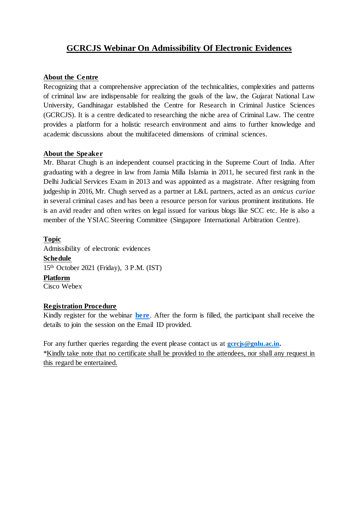## **GCRCJS Webinar On Admissibility Of Electronic Evidences**

## **About the Centre**

Recognizing that a comprehensive appreciation of the technicalities, complexities and patterns of criminal law are indispensable for realizing the goals of the law, the Gujarat National Law University, Gandhinagar established the Centre for Research in Criminal Justice Sciences (GCRCJS). It is a centre dedicated to researching the niche area of Criminal Law. The centre provides a platform for a holistic research environment and aims to further knowledge and academic discussions about the multifaceted dimensions of criminal sciences.

## **About the Speaker**

Mr. Bharat Chugh is an independent counsel practicing in the Supreme Court of India. After graduating with a degree in law from Jamia Milla Islamia in 2011, he secured first rank in the Delhi Judicial Services Exam in 2013 and was appointed as a magistrate. After resigning from judgeship in 2016, Mr. Chugh served as a partner at L&L partners, acted as an *amicus curiae* in several criminal cases and has been a resource person for various prominent institutions. He is an avid reader and often writes on legal issued for various blogs like SCC etc. He is also a member of the YSIAC Steering Committee (Singapore International Arbitration Centre).

**Topic** Admissibility of electronic evidences **Schedule** 15th October 2021 (Friday), 3 P.M. (IST) **Platform** Cisco Webex

## **Registration Procedure**

Kindly register for the webinar **[here](https://forms.gle/WZxAzXQ657AW527s6)**. After the form is filled, the participant shall receive the details to join the session on the Email ID provided.

For any further queries regarding the event please contact us at **generical** *generica*. \*Kindly take note that no certificate shall be provided to the attendees, nor shall any request in this regard be entertained.